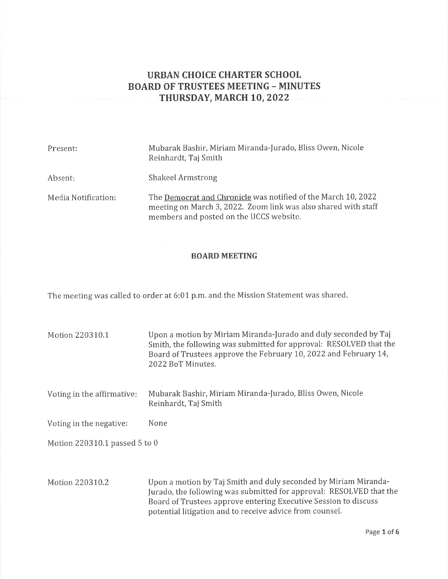# URBAN CHOICE CHARTER SCHOOL BOARD OF TRUSTEES MEETING - MINUTES THURSDAY, MARCH 10, 2022

| Present:            | Mubarak Bashir, Miriam Miranda-Jurado, Bliss Owen, Nicole<br>Reinhardt, Taj Smith                                                                                          |
|---------------------|----------------------------------------------------------------------------------------------------------------------------------------------------------------------------|
| Absent:             | Shakeel Armstrong                                                                                                                                                          |
| Media Notification: | The Democrat and Chronicle was notified of the March 10, 2022<br>meeting on March 3, 2022. Zoom link was also shared with staff<br>members and posted on the UCCS website. |

#### BOARD MEETING

The meeting was called to order at 6:01 p.m. and the Mission Statement was shared

| Motion 220310.1               | Upon a motion by Miriam Miranda-Jurado and duly seconded by Taj<br>Smith, the following was submitted for approval: RESOLVED that the<br>Board of Trustees approve the February 10, 2022 and February 14,<br>2022 BoT Minutes. |  |
|-------------------------------|--------------------------------------------------------------------------------------------------------------------------------------------------------------------------------------------------------------------------------|--|
| Voting in the affirmative:    | Mubarak Bashir, Miriam Miranda-Jurado, Bliss Owen, Nicole<br>Reinhardt, Taj Smith                                                                                                                                              |  |
| Voting in the negative:       | None                                                                                                                                                                                                                           |  |
| Motion 220310.1 passed 5 to 0 |                                                                                                                                                                                                                                |  |
| Motion 220310.2               | Upon a motion by Taj Smith and duly seconded by Miriam Miranda-<br>Jurado, the following was submitted for approval: RESOLVED that the                                                                                         |  |

Board of Trustees approve entering Executive Session to discuss

potential litigation and to receive advice from counsel.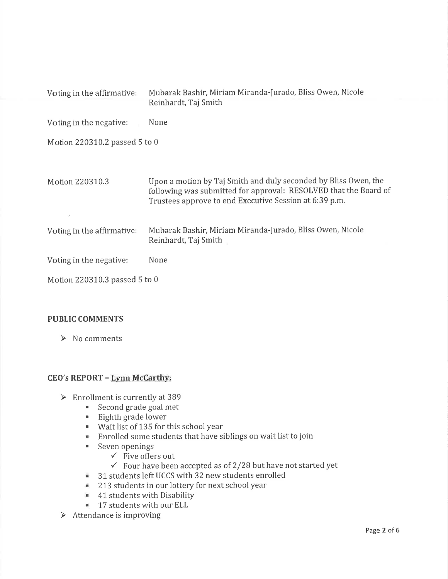| Voting in the affirmative:    | Mubarak Bashir, Miriam Miranda-Jurado, Bliss Owen, Nicole<br>Reinhardt, Taj Smith                                                                                                             |  |  |
|-------------------------------|-----------------------------------------------------------------------------------------------------------------------------------------------------------------------------------------------|--|--|
| Voting in the negative:       | None                                                                                                                                                                                          |  |  |
| Motion 220310.2 passed 5 to 0 |                                                                                                                                                                                               |  |  |
| Motion 220310.3               | Upon a motion by Taj Smith and duly seconded by Bliss Owen, the<br>following was submitted for approval: RESOLVED that the Board of<br>Trustees approve to end Executive Session at 6:39 p.m. |  |  |
| Voting in the affirmative:    | Mubarak Bashir, Miriam Miranda-Jurado, Bliss Owen, Nicole<br>Reinhardt, Taj Smith                                                                                                             |  |  |
| Voting in the negative:       | None                                                                                                                                                                                          |  |  |
| Motion 220310.3 passed 5 to 0 |                                                                                                                                                                                               |  |  |

# PUBLIC COMMENTS

 $\triangleright$  No comments

# CEO's REPORT - Lynn McCarthy:

- > Enrollment is currently at 389<br>Second grade goal met
	-
	- ' Eighth grade lower
	- . Wait list of 135 for this school year
	- ' Enrolled some students that have siblings on wait list to join
	- - $\checkmark$  Five offers out
		- $\checkmark$  Four have been accepted as of 2/28 but have not started yet
	- <sup>8</sup> 31 students left UCCS with 32 new students enrolled
	- <sup>2</sup> 213 students in our lottery for next school year
	- **41 students with Disability**
	- $\blacksquare$  17 students with our ELL
- $\triangleright$  Attendance is improving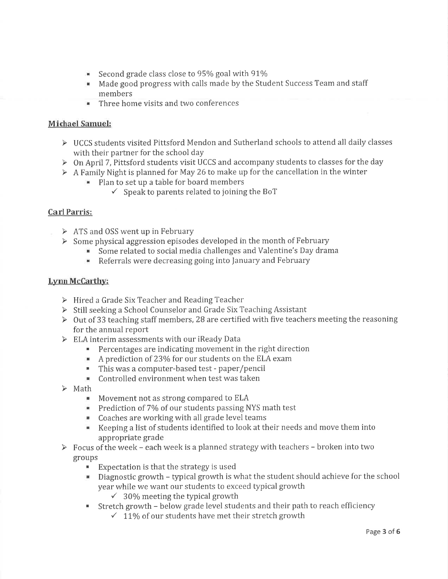- Second grade class close to 95% goal with  $91\%$
- ' Made good progress with calls made by the Student Success Team and staff members
- ' Three home visits and two conferences

# Michael Samuel:

- $\triangleright$  UCCS students visited Pittsford Mendon and Sutherland schools to attend all daily classes
- with their partner for the school day<br> $\triangleright$  On April 7, Pittsford students visit UCCS and accompany students to classes for the day
- $\triangleright$  A Family Night is planned for May 26 to make up for the cancellation in the winter
	- " Plan to set up a table for board members
		- $\checkmark$  Speak to parents related to joining the BoT

# Carl Parris:

- $\triangleright$  ATS and OSS went up in February
- $\triangleright$  Some physical aggression episodes developed in the month of February
	- $\ddot{\bullet}$  Some related to social media challenges and Valentine's Day drama
	- **EXECTE:** Referrals were decreasing going into January and February

# Lvnn McCarthv:

- $\triangleright$  Hired a Grade Six Teacher and Reading Teacher
- > Still seeking a School Counselor and Grade Six Teaching Assistant
- > Out of 33 teaching staff members, 28 are certified with five teachers meeting the reasoning for the annual report
- 
- ELA interim assessments with our iReady Data<br>Percentages are indicating movement in the right direction
	- $\blacksquare$  A prediction of 23% for our students on the ELA exam
	- . This was a computer-based test paper/pencil
- $\blacksquare$  Controlled environment when test was taken<br> $\blacktriangleright$  Math
- - **Movement not as strong compared to ELA**
	- Prediction of 7% of our students passing NYS math test
	- ' Coaches are working with all grade level teams
	- . Keeping a list of students identified to look at their needs and move them into
- appropriate grade<br>
> Focus of the week each week is a planned strategy with teachers broken into two groups
	- Expectation is that the strategy is used
	- $\blacksquare$  Diagnostic growth typical growth is what the student should achieve for the school year while we want our students to exceed typical growth  $\checkmark$  30% meeting the typical growth
		-
	- Stretch growth below grade level students and their path to reach efficiency  $\checkmark$  11% of our students have met their stretch growth
		-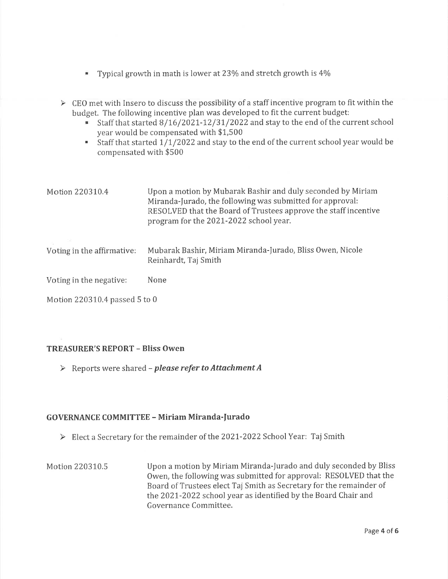- Typical growth in math is lower at  $23\%$  and stretch growth is  $4\%$
- $\triangleright$  CEO met with Insero to discuss the possibility of a staff incentive program to fit within the budget. The following incentive plan was developed to fit the current budget:
	- Staff that started  $8/16/2021 12/31/2022$  and stay to the end of the current school year would be compensated with \$L,500
	- Staff that started  $1/1/2022$  and stay to the end of the current school year would be compensated with \$500

| Motion 220310.4            | Upon a motion by Mubarak Bashir and duly seconded by Miriam<br>Miranda-Jurado, the following was submitted for approval:<br>RESOLVED that the Board of Trustees approve the staff incentive<br>program for the 2021-2022 school year. |  |
|----------------------------|---------------------------------------------------------------------------------------------------------------------------------------------------------------------------------------------------------------------------------------|--|
| Voting in the affirmative: | Mubarak Bashir, Miriam Miranda-Jurado, Bliss Owen, Nicole<br>Reinhardt, Taj Smith                                                                                                                                                     |  |
| Voting in the negative:    | None                                                                                                                                                                                                                                  |  |

Motion 220310.4 passed 5 to 0

# TREASURER'S REPORT - Bliss Owen

> Reports were shared - please refer to Attachment A

# GOVERNANCE COMMITTEE - Miriam Miranda-furado

- Elect a Secretary for the remainder of the 2021-2022 School Year: Taj Smith
- Motion 220310.5 Upon a motion by Miriam Miranda-Jurado and duly seconded by Bliss Owen, the following was submitted for approval: RESOLVED that the Board of Trustees elect Taj Smith as Secretary for the remainder of the 2021-2022 school year as identified by the Board Chair and Governance Committee.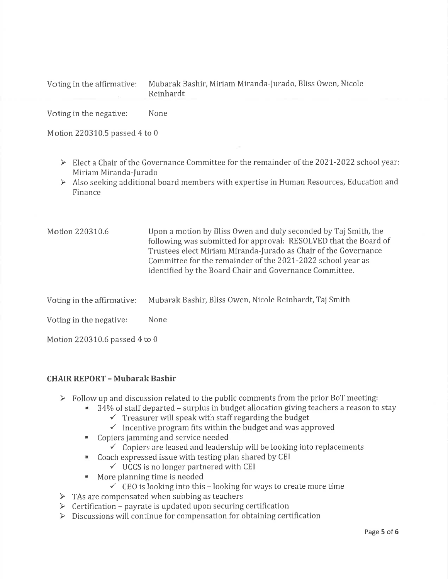| Voting in the affirmative: | Mubarak Bashir, Miriam Miranda-Jurado, Bliss Owen, Nicole<br>Reinhardt |
|----------------------------|------------------------------------------------------------------------|
| Voting in the negative:    | None                                                                   |

Motion 220310.5 passed 4 to 0

- $\triangleright$  Elect a Chair of the Governance Committee for the remainder of the 2021-2022 school year: Miriam Miranda-|urado
- $\triangleright$  Also seeking additional board members with expertise in Human Resources, Education and Finance

| Motion 220310.6 | Upon a motion by Bliss Owen and duly seconded by Taj Smith, the  |
|-----------------|------------------------------------------------------------------|
|                 | following was submitted for approval: RESOLVED that the Board of |
|                 | Trustees elect Miriam Miranda-Jurado as Chair of the Governance  |
|                 | Committee for the remainder of the 2021-2022 school year as      |
|                 | identified by the Board Chair and Governance Committee.          |

Voting in the affirmative: Mubarak Bashir, Bliss Owen, Nicole Reinhardt, Taj Smith

Voting in the negative: None

Motion 220310.6 passed 4 to 0

# CHAIR REPORT - Mubarak Bashir

- 
- Follow up and discussion related to the public comments from the prior BoT meeting:<br>34% of staff departed surplus in budget allocation giving teachers a reason to stay<br> $\checkmark$  Treasurer will speak with staff regarding the
	-
	-
	-
	- $\blacksquare$  Copiers jamming and service needed .<br>  $\checkmark$  Copiers are leased and leadership will be looking into replacements
	- Coach expressed issue with testing plan shared by CEI  $\checkmark$  UCCS is no longer partnered with CEI
		-
	-
- More planning time is needed<br>  $\checkmark$  CEO is looking into this looking for ways to create more time<br>  $\checkmark$  TAs are compensated when subbing as teachers
- 
- $\triangleright$  Certification payrate is updated upon securing certification
- > Discussions will continue for compensation for obtaining certification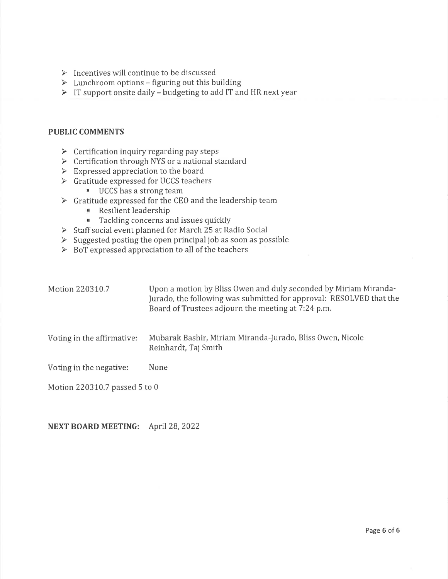- $\triangleright$  Incentives will continue to be discussed
- $\triangleright$  Lunchroom options figuring out this building
- > IT support onsite daily budgeting to add IT and HR next year

#### PUBLIC COMMENTS

- $\triangleright$  Certification inquiry regarding pay steps
- $\triangleright$  Certification through NYS or a national standard
- $\triangleright$  Expressed appreciation to the board
- > Gratitude expressed for UCCS teachers
	-
- $\blacksquare$  UCCS has a strong team<br>  $\blacktriangleright$  Gratitude expressed for the CEO and the leadership team
	- **E** Resilient leadership<br>**E** Tackling concerns a
	-
- $\blacktriangleright$  Tackling concerns and issues quickly<br> $\blacktriangleright$  Staff social event planned for March 25 at Radio Social
- > Suggested posting the open principal job as soon as possible
- $\triangleright$  BoT expressed appreciation to all of the teachers

| Motion 220310.7               | Upon a motion by Bliss Owen and duly seconded by Miriam Miranda-<br>Jurado, the following was submitted for approval: RESOLVED that the<br>Board of Trustees adjourn the meeting at 7:24 p.m. |  |  |
|-------------------------------|-----------------------------------------------------------------------------------------------------------------------------------------------------------------------------------------------|--|--|
| Voting in the affirmative:    | Mubarak Bashir, Miriam Miranda-Jurado, Bliss Owen, Nicole<br>Reinhardt, Taj Smith                                                                                                             |  |  |
| Voting in the negative:       | None                                                                                                                                                                                          |  |  |
| Motion 220310.7 passed 5 to 0 |                                                                                                                                                                                               |  |  |

# NEXT BOARD MEETING: April 28, 2022